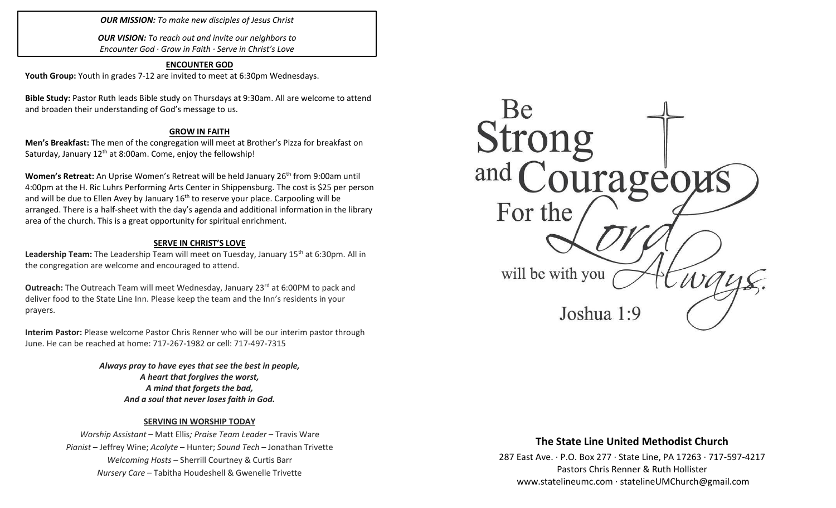*OUR MISSION: To make new disciples of Jesus Christ*

*OUR VISION: To reach out and invite our neighbors to Encounter God · Grow in Faith · Serve in Christ's Love*

## **ENCOUNTER GOD**

**Youth Group:** Youth in grades 7-12 are invited to meet at 6:30pm Wednesdays.

**Bible Study:** Pastor Ruth leads Bible study on Thursdays at 9:30am. All are welcome to attend and broaden their understanding of God's message to us.

### **GROW IN FAITH**

**Men's Breakfast:** The men of the congregation will meet at Brother's Pizza for breakfast on Saturday, January 12<sup>th</sup> at 8:00am. Come, enjoy the fellowship!

Women's Retreat: An Uprise Women's Retreat will be held January 26<sup>th</sup> from 9:00am until 4:00pm at the H. Ric Luhrs Performing Arts Center in Shippensburg. The cost is \$25 per person and will be due to Ellen Avey by January  $16<sup>th</sup>$  to reserve your place. Carpooling will be arranged. There is a half-sheet with the day's agenda and additional information in the library area of the church. This is a great opportunity for spiritual enrichment.

### **SERVE IN CHRIST'S LOVE**

Leadership Team: The Leadership Team will meet on Tuesday, January 15<sup>th</sup> at 6:30pm. All in the congregation are welcome and encouraged to attend.

**Outreach:** The Outreach Team will meet Wednesday, January 23<sup>rd</sup> at 6:00PM to pack and deliver food to the State Line Inn. Please keep the team and the Inn's residents in your prayers.

**Interim Pastor:** Please welcome Pastor Chris Renner who will be our interim pastor through June. He can be reached at home: 717-267-1982 or cell: 717-497-7315

> *Always pray to have eyes that see the best in people, A heart that forgives the worst, A mind that forgets the bad, And a soul that never loses faith in God.*

### **SERVING IN WORSHIP TODAY**

*Worship Assistant* – Matt Ellis*; Praise Team Leader* – Travis Ware *Pianist* – Jeffrey Wine; *Acolyte* – Hunter; *Sound Tech* – Jonathan Trivette *Welcoming Hosts* – Sherrill Courtney & Curtis Barr *Nursery Care* – Tabitha Houdeshell & Gwenelle Trivette



# **The State Line United Methodist Church**

287 East Ave. · P.O. Box 277 · State Line, PA 17263 · 717-597-4217 Pastors Chris Renner & Ruth Hollister [www.statelineumc.com](http://www.statelineumc.com/) · statelineUMChurch@gmail.com